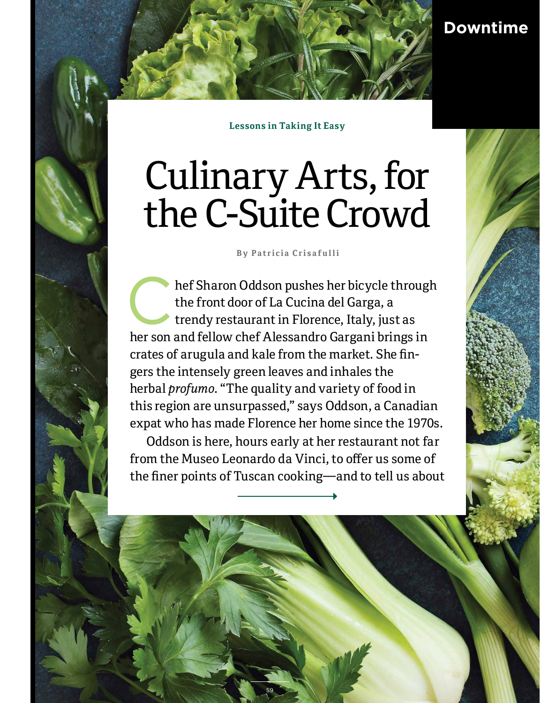

**Lessons in Taking It Easy**

# Culinary Arts, for the C-Suite Crowd

**B y P a t r ic i a C r i s a f u l l i** 

hef Sharon Oddson pushes her bicycle through the front door of La Cucina del Garga, a trendy restaurant in Florence, Italy, just as her son and fellow chef Alessandro Gargani brings in crates of arugula and kale from the market. She fingers the intensely green leaves and inhales the herbal *profumo*. "The quality and variety of food in this region are unsurpassed," says Oddson, a Canadian expat who has made Florence her home since the 1970s.

Oddson is here, hours early at her restaurant not far from the Museo Leonardo da Vinci, to offer us some of the finer points of Tuscan cooking—and to tell us about

59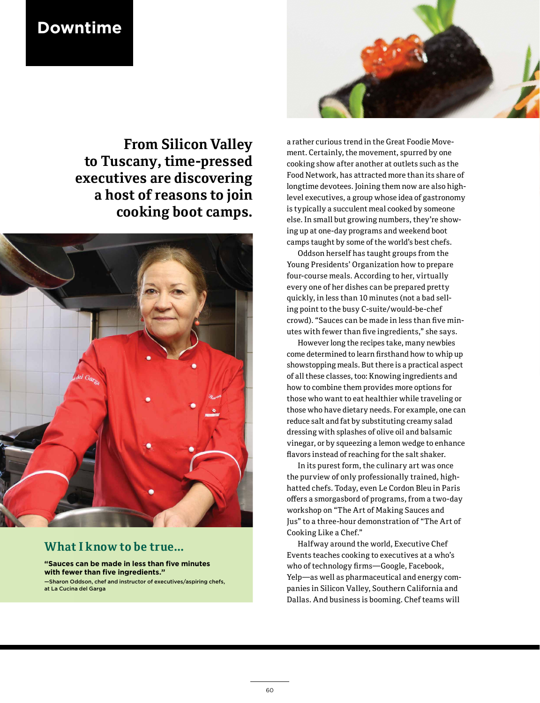## **Downtime**



**From Silicon Valley to Tuscany, time-pressed executives are discovering a host of reasons to join cooking boot camps.**



### **What I know to be true...**

**"Sauces can be made in less than five minutes with fewer than five ingredients."** —Sharon Oddson, chef and instructor of executives/aspiring chefs, at La Cucina del Garga

a rather curious trend in the Great Foodie Movement. Certainly, the movement, spurred by one cooking show after another at outlets such as the Food Network, has attracted more than its share of longtime devotees. Joining them now are also highlevel executives, a group whose idea of gastronomy is typically a succulent meal cooked by someone else. In small but growing numbers, they're showing up at one-day programs and weekend boot camps taught by some of the world's best chefs.

Oddson herself has taught groups from the Young Presidents' Organization how to prepare four-course meals. According to her, virtually every one of her dishes can be prepared pretty quickly, in less than 10 minutes (not a bad selling point to the busy C-suite/would-be-chef crowd). "Sauces can be made in less than five minutes with fewer than five ingredients," she says.

However long the recipes take, many newbies come determined to learn firsthand how to whip up showstopping meals. But there is a practical aspect of all these classes, too: Knowing ingredients and how to combine them provides more options for those who want to eat healthier while traveling or those who have dietary needs. For example, one can reduce salt and fat by substituting creamy salad dressing with splashes of olive oil and balsamic vinegar, or by squeezing a lemon wedge to enhance flavors instead of reaching for the salt shaker.

In its purest form, the culinary art was once the purview of only professionally trained, highhatted chefs. Today, even Le Cordon Bleu in Paris offers a smorgasbord of programs, from a two-day workshop on "The Art of Making Sauces and Jus" to a three-hour demonstration of "The Art of Cooking Like a Chef."

Halfway around the world, Executive Chef Events teaches cooking to executives at a who's who of technology firms—Google, Facebook, Yelp—as well as pharmaceutical and energy companies in Silicon Valley, Southern California and Dallas. And business is booming. Chef teams will